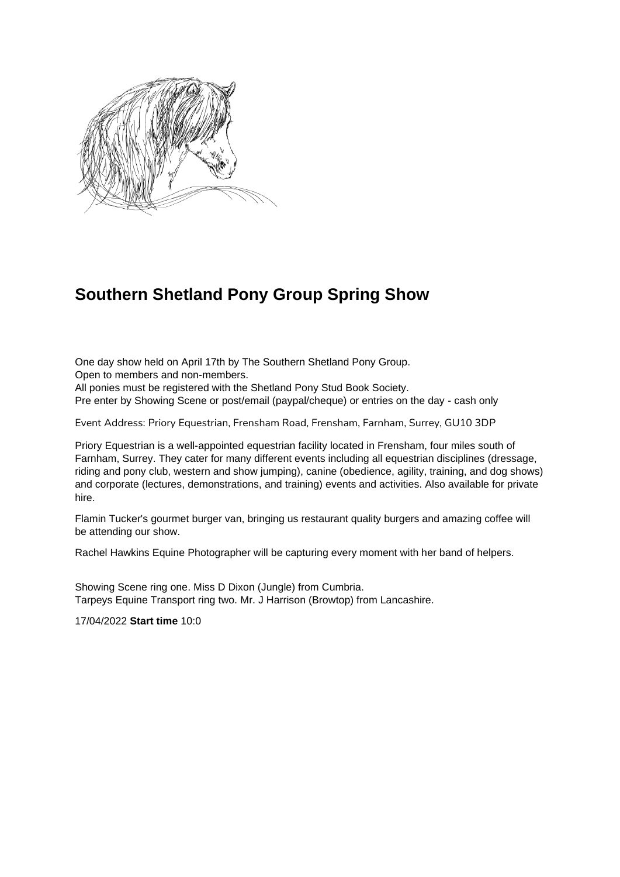

## **Southern Shetland Pony Group Spring Show**

One day show held on April 17th by The Southern Shetland Pony Group. Open to members and non-members.

All ponies must be registered with the Shetland Pony Stud Book Society.

Pre enter by Showing Scene or post/email (paypal/cheque) or entries on the day - cash only

Event Address: Priory Equestrian, Frensham Road, Frensham, Farnham, Surrey, GU10 3DP

Priory Equestrian is a well-appointed equestrian facility located in Frensham, four miles south of Farnham, Surrey. They cater for many different events including all equestrian disciplines (dressage, riding and pony club, western and show jumping), canine (obedience, agility, training, and dog shows) and corporate (lectures, demonstrations, and training) events and activities. Also available for private hire.

Flamin Tucker's gourmet burger van, bringing us restaurant quality burgers and amazing coffee will be attending our show.

Rachel Hawkins Equine Photographer will be capturing every moment with her band of helpers.

Showing Scene ring one. Miss D Dixon (Jungle) from Cumbria. Tarpeys Equine Transport ring two. Mr. J Harrison (Browtop) from Lancashire.

17/04/2022 **Start time** 10:0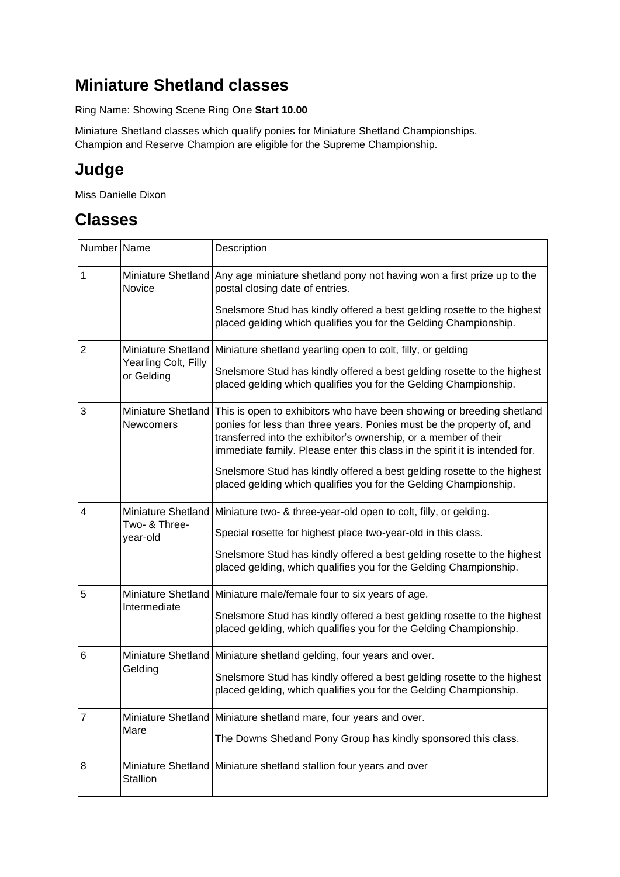## **Miniature Shetland classes**

Ring Name: Showing Scene Ring One **Start 10.00**

Miniature Shetland classes which qualify ponies for Miniature Shetland Championships. Champion and Reserve Champion are eligible for the Supreme Championship.

# **Judge**

Miss Danielle Dixon

| Number Name    |                                                          | Description                                                                                                                                                                                                                                                                                       |
|----------------|----------------------------------------------------------|---------------------------------------------------------------------------------------------------------------------------------------------------------------------------------------------------------------------------------------------------------------------------------------------------|
| 1              | Novice                                                   | Miniature Shetland Any age miniature shetland pony not having won a first prize up to the<br>postal closing date of entries.                                                                                                                                                                      |
|                |                                                          | Snelsmore Stud has kindly offered a best gelding rosette to the highest<br>placed gelding which qualifies you for the Gelding Championship.                                                                                                                                                       |
| $\overline{2}$ | Miniature Shetland<br>Yearling Colt, Filly<br>or Gelding | Miniature shetland yearling open to colt, filly, or gelding                                                                                                                                                                                                                                       |
|                |                                                          | Snelsmore Stud has kindly offered a best gelding rosette to the highest<br>placed gelding which qualifies you for the Gelding Championship.                                                                                                                                                       |
| 3              | Miniature Shetland<br>Newcomers                          | This is open to exhibitors who have been showing or breeding shetland<br>ponies for less than three years. Ponies must be the property of, and<br>transferred into the exhibitor's ownership, or a member of their<br>immediate family. Please enter this class in the spirit it is intended for. |
|                |                                                          | Snelsmore Stud has kindly offered a best gelding rosette to the highest<br>placed gelding which qualifies you for the Gelding Championship.                                                                                                                                                       |
| 4              | Two- & Three-<br>year-old                                | Miniature Shetland   Miniature two- & three-year-old open to colt, filly, or gelding.                                                                                                                                                                                                             |
|                |                                                          | Special rosette for highest place two-year-old in this class.                                                                                                                                                                                                                                     |
|                |                                                          | Snelsmore Stud has kindly offered a best gelding rosette to the highest<br>placed gelding, which qualifies you for the Gelding Championship.                                                                                                                                                      |
| 5              | Intermediate                                             | Miniature Shetland   Miniature male/female four to six years of age.                                                                                                                                                                                                                              |
|                |                                                          | Snelsmore Stud has kindly offered a best gelding rosette to the highest<br>placed gelding, which qualifies you for the Gelding Championship.                                                                                                                                                      |
| 6              | Gelding                                                  | Miniature Shetland   Miniature shetland gelding, four years and over.                                                                                                                                                                                                                             |
|                |                                                          | Snelsmore Stud has kindly offered a best gelding rosette to the highest<br>placed gelding, which qualifies you for the Gelding Championship.                                                                                                                                                      |
| 7              | Mare                                                     | Miniature Shetland Miniature shetland mare, four years and over.                                                                                                                                                                                                                                  |
|                |                                                          | The Downs Shetland Pony Group has kindly sponsored this class.                                                                                                                                                                                                                                    |
| 8              | Stallion                                                 | Miniature Shetland   Miniature shetland stallion four years and over                                                                                                                                                                                                                              |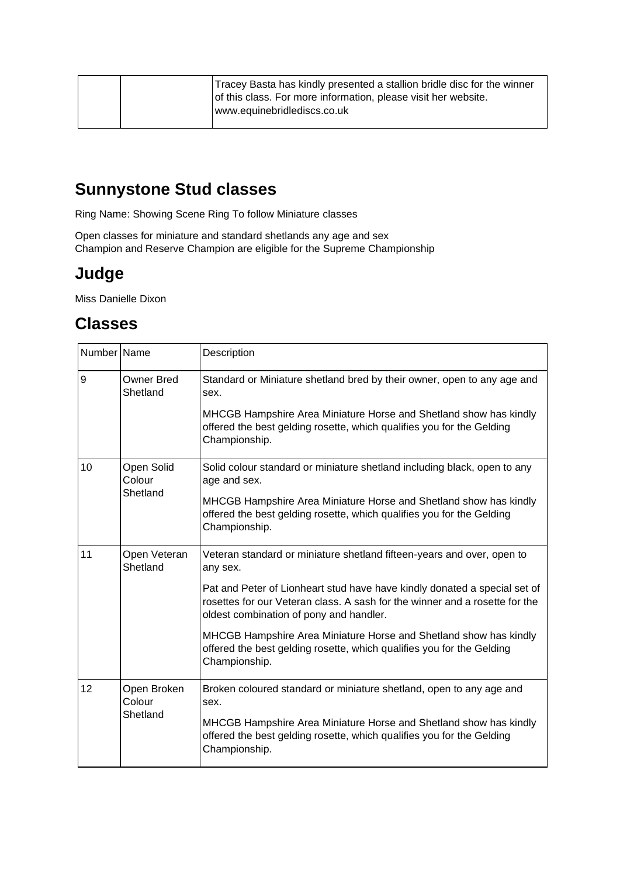|  | Tracey Basta has kindly presented a stallion bridle disc for the winner<br>of this class. For more information, please visit her website.<br>www.equinebridlediscs.co.uk |
|--|--------------------------------------------------------------------------------------------------------------------------------------------------------------------------|
|  |                                                                                                                                                                          |

# **Sunnystone Stud classes**

Ring Name: Showing Scene Ring To follow Miniature classes

Open classes for miniature and standard shetlands any age and sex Champion and Reserve Champion are eligible for the Supreme Championship

## **Judge**

Miss Danielle Dixon

| Number Name |                                   | Description                                                                                                                                                                                         |
|-------------|-----------------------------------|-----------------------------------------------------------------------------------------------------------------------------------------------------------------------------------------------------|
| 9           | <b>Owner Bred</b><br>Shetland     | Standard or Miniature shetland bred by their owner, open to any age and<br>sex.                                                                                                                     |
|             |                                   | MHCGB Hampshire Area Miniature Horse and Shetland show has kindly<br>offered the best gelding rosette, which qualifies you for the Gelding<br>Championship.                                         |
| 10          | Open Solid<br>Colour<br>Shetland  | Solid colour standard or miniature shetland including black, open to any<br>age and sex.                                                                                                            |
|             |                                   | MHCGB Hampshire Area Miniature Horse and Shetland show has kindly<br>offered the best gelding rosette, which qualifies you for the Gelding<br>Championship.                                         |
| 11          | Open Veteran<br>Shetland          | Veteran standard or miniature shetland fifteen-years and over, open to<br>any sex.                                                                                                                  |
|             |                                   | Pat and Peter of Lionheart stud have have kindly donated a special set of<br>rosettes for our Veteran class. A sash for the winner and a rosette for the<br>oldest combination of pony and handler. |
|             |                                   | MHCGB Hampshire Area Miniature Horse and Shetland show has kindly<br>offered the best gelding rosette, which qualifies you for the Gelding<br>Championship.                                         |
| 12          | Open Broken<br>Colour<br>Shetland | Broken coloured standard or miniature shetland, open to any age and<br>sex.                                                                                                                         |
|             |                                   | MHCGB Hampshire Area Miniature Horse and Shetland show has kindly<br>offered the best gelding rosette, which qualifies you for the Gelding<br>Championship.                                         |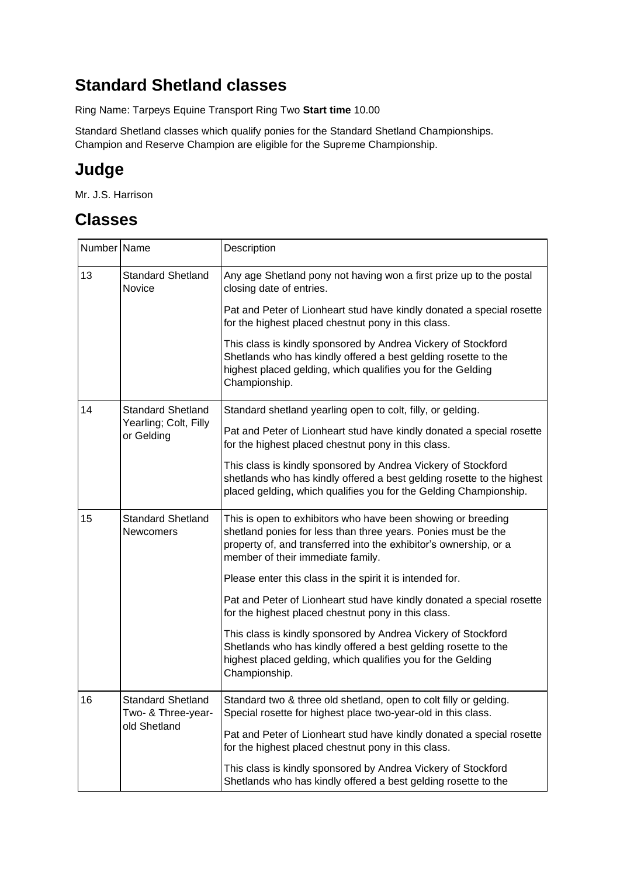# **Standard Shetland classes**

Ring Name: Tarpeys Equine Transport Ring Two **Start time** 10.00

Standard Shetland classes which qualify ponies for the Standard Shetland Championships. Champion and Reserve Champion are eligible for the Supreme Championship.

# **Judge**

Mr. J.S. Harrison

| Number Name |                                                                 | Description                                                                                                                                                                                                                             |
|-------------|-----------------------------------------------------------------|-----------------------------------------------------------------------------------------------------------------------------------------------------------------------------------------------------------------------------------------|
| 13          | <b>Standard Shetland</b><br>Novice                              | Any age Shetland pony not having won a first prize up to the postal<br>closing date of entries.                                                                                                                                         |
|             |                                                                 | Pat and Peter of Lionheart stud have kindly donated a special rosette<br>for the highest placed chestnut pony in this class.                                                                                                            |
|             |                                                                 | This class is kindly sponsored by Andrea Vickery of Stockford<br>Shetlands who has kindly offered a best gelding rosette to the<br>highest placed gelding, which qualifies you for the Gelding<br>Championship.                         |
| 14          | <b>Standard Shetland</b><br>Yearling; Colt, Filly<br>or Gelding | Standard shetland yearling open to colt, filly, or gelding.                                                                                                                                                                             |
|             |                                                                 | Pat and Peter of Lionheart stud have kindly donated a special rosette<br>for the highest placed chestnut pony in this class.                                                                                                            |
|             |                                                                 | This class is kindly sponsored by Andrea Vickery of Stockford<br>shetlands who has kindly offered a best gelding rosette to the highest<br>placed gelding, which qualifies you for the Gelding Championship.                            |
| 15          | <b>Standard Shetland</b><br><b>Newcomers</b>                    | This is open to exhibitors who have been showing or breeding<br>shetland ponies for less than three years. Ponies must be the<br>property of, and transferred into the exhibitor's ownership, or a<br>member of their immediate family. |
|             |                                                                 | Please enter this class in the spirit it is intended for.                                                                                                                                                                               |
|             |                                                                 | Pat and Peter of Lionheart stud have kindly donated a special rosette<br>for the highest placed chestnut pony in this class.                                                                                                            |
|             |                                                                 | This class is kindly sponsored by Andrea Vickery of Stockford<br>Shetlands who has kindly offered a best gelding rosette to the<br>highest placed gelding, which qualifies you for the Gelding<br>Championship.                         |
| 16          | <b>Standard Shetland</b><br>Two- & Three-year-<br>old Shetland  | Standard two & three old shetland, open to colt filly or gelding.<br>Special rosette for highest place two-year-old in this class.                                                                                                      |
|             |                                                                 | Pat and Peter of Lionheart stud have kindly donated a special rosette<br>for the highest placed chestnut pony in this class.                                                                                                            |
|             |                                                                 | This class is kindly sponsored by Andrea Vickery of Stockford<br>Shetlands who has kindly offered a best gelding rosette to the                                                                                                         |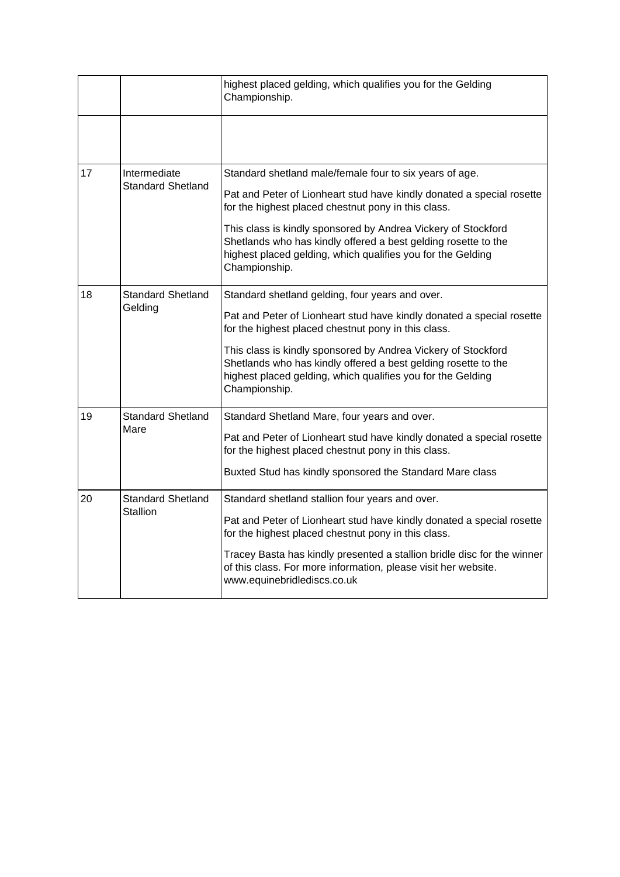|    |                                          | highest placed gelding, which qualifies you for the Gelding<br>Championship.                                                                                                                                    |
|----|------------------------------------------|-----------------------------------------------------------------------------------------------------------------------------------------------------------------------------------------------------------------|
|    |                                          |                                                                                                                                                                                                                 |
| 17 | Intermediate<br><b>Standard Shetland</b> | Standard shetland male/female four to six years of age.<br>Pat and Peter of Lionheart stud have kindly donated a special rosette<br>for the highest placed chestnut pony in this class.                         |
|    |                                          | This class is kindly sponsored by Andrea Vickery of Stockford<br>Shetlands who has kindly offered a best gelding rosette to the<br>highest placed gelding, which qualifies you for the Gelding<br>Championship. |
| 18 | <b>Standard Shetland</b><br>Gelding      | Standard shetland gelding, four years and over.<br>Pat and Peter of Lionheart stud have kindly donated a special rosette<br>for the highest placed chestnut pony in this class.                                 |
|    |                                          | This class is kindly sponsored by Andrea Vickery of Stockford<br>Shetlands who has kindly offered a best gelding rosette to the<br>highest placed gelding, which qualifies you for the Gelding<br>Championship. |
| 19 | <b>Standard Shetland</b><br>Mare         | Standard Shetland Mare, four years and over.<br>Pat and Peter of Lionheart stud have kindly donated a special rosette<br>for the highest placed chestnut pony in this class.                                    |
|    |                                          | Buxted Stud has kindly sponsored the Standard Mare class                                                                                                                                                        |
| 20 | <b>Standard Shetland</b><br>Stallion     | Standard shetland stallion four years and over.                                                                                                                                                                 |
|    |                                          | Pat and Peter of Lionheart stud have kindly donated a special rosette<br>for the highest placed chestnut pony in this class.                                                                                    |
|    |                                          | Tracey Basta has kindly presented a stallion bridle disc for the winner<br>of this class. For more information, please visit her website.<br>www.equinebridlediscs.co.uk                                        |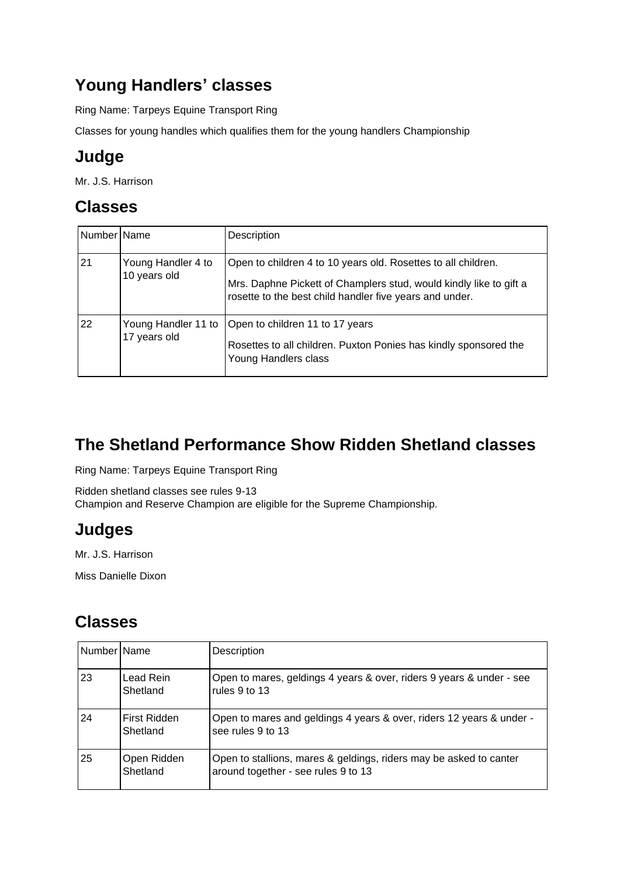# **Young Handlers' classes**

Ring Name: Tarpeys Equine Transport Ring

Classes for young handles which qualifies them for the young handlers Championship

# **Judge**

Mr. J.S. Harrison

# **Classes**

| Number Name |                                     | Description                                                                                                                                                                                    |
|-------------|-------------------------------------|------------------------------------------------------------------------------------------------------------------------------------------------------------------------------------------------|
| 21          | Young Handler 4 to<br>10 years old  | Open to children 4 to 10 years old. Rosettes to all children.<br>Mrs. Daphne Pickett of Champlers stud, would kindly like to gift a<br>rosette to the best child handler five years and under. |
| 22          | Young Handler 11 to<br>17 years old | Open to children 11 to 17 years<br>Rosettes to all children. Puxton Ponies has kindly sponsored the<br>Young Handlers class                                                                    |

# **The Shetland Performance Show Ridden Shetland classes**

Ring Name: Tarpeys Equine Transport Ring

Ridden shetland classes see rules 9-13 Champion and Reserve Champion are eligible for the Supreme Championship.

# **Judges**

Mr. J.S. Harrison

Miss Danielle Dixon

| Number   Name |                          | Description                                                                                               |
|---------------|--------------------------|-----------------------------------------------------------------------------------------------------------|
| 23            | Lead Rein<br>Shetland    | Open to mares, geldings 4 years & over, riders 9 years & under - see<br>rules 9 to 13                     |
| 24            | First Ridden<br>Shetland | Open to mares and geldings 4 years & over, riders 12 years & under -<br>see rules 9 to 13                 |
| 25            | Open Ridden<br>Shetland  | Open to stallions, mares & geldings, riders may be asked to canter<br>around together - see rules 9 to 13 |